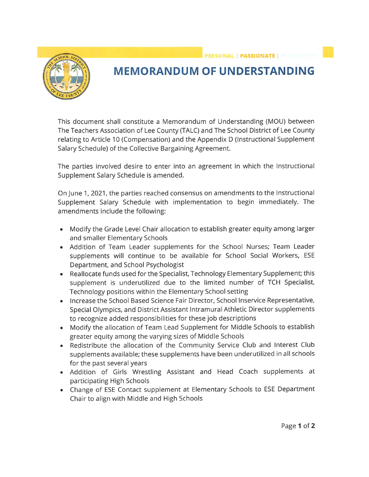## **MEMORANDUM OF UNDERSTANDING**

PERSONAL | PASSIONATE | PROGRESS

This document shall constitute a Memorandum of Understanding (MOU) between The Teachers Association of Lee County (TALC) and The School District of Lee County relating to Article 10 (Compensation) and the Appendix D (Instructional Supplement Salary Schedule) of the Collective Bargaining Agreement.

The parties involved desire to enter into an agreement in which the Instructional Supplement Salary Schedule is amended.

On June 1, 2021, the parties reached consensus on amendments to the Instructional Supplement Salary Schedule with implementation to begin immediately. The amendments include the following:

- Modify the Grade Level Chair allocation to establish greater equity among larger and smaller Elementary Schools
- Addition of Team Leader supplements for the School Nurses; Team Leader supplements will continue to be available for School Social Workers, ESE Department, and School Psychologist
- Reallocate funds used for the Specialist, Technology Elementary Supplement; this supplement is underutilized due to the limited number of TCH Specialist, Technology positions within the Elementary School setting
- Increase the School Based Science Fair Director, School Inservice Representative, Special Olympics, and District Assistant Intramural Athletic Director supplements to recognize added responsibilities for these job descriptions
- Modify the allocation of Team Lead Supplement for Middle Schools to establish greater equity among the varying sizes of Middle Schools
- Redistribute the allocation of the Community Service Club and Interest Club supplements available; these supplements have been underutilized in all schools for the past several years
- . Addition of Girls Wrestling Assistant and Head Coach supplements at participating High Schools
- Change of ESE Contact supplement at Elementary Schools to ESE Department Chair to align with Middle and High Schools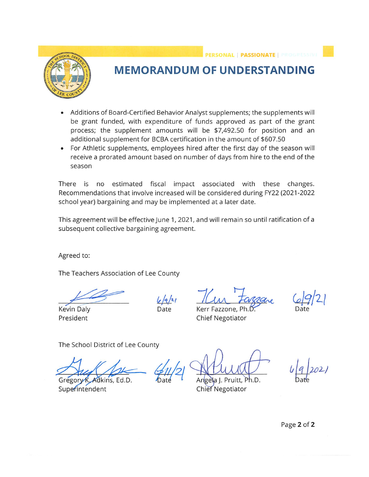PERSONAL | PASSIONATE | PROGRESSIN



## **MEMORANDUM OF UNDERSTANDING**

- Additions of Board-Certified Behavior Analyst supplements; the supplements will be grant funded, with expenditure of funds approved as part of the grant process; the supplement amounts will be \$7,492.50 for position and an additional supplement for BCBA certification in the amount of \$607.50
- For Athletic supplements, employees hired after the first day of the season will receive a prorated amount based on number of days from hire to the end of the season

There is no estimated fiscal impact associated with these changes. Recommendations that involve increased will be considered during FY22 (2021-2022 school year) bargaining and may be implemented at a later date.

This agreement will be effective June 1, 2021, and will remain so until ratification of a subsequent collective bargaining agreement.

Agreed to:

The Teachers Association of Lee County

 $6/9/21$ Date

**Kevin Daly** President

Kerr Fazzone, Pl **Chief Negotiator** 

The School District of Lee County

Gregory K. Adkins, Ed.D. Superintendent

Angela I. Pruitt, Ph.D. **Chief Negotiator** 

Page 2 of 2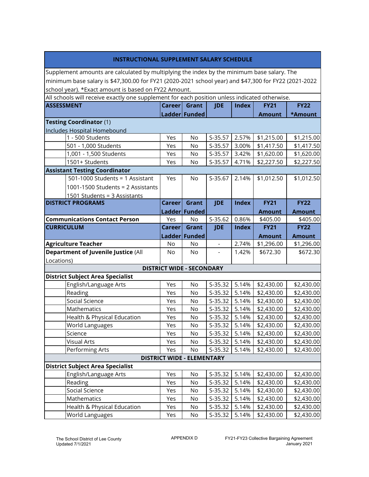| <b>INSTRUCTIONAL SUPPLEMENT SALARY SCHEDULE</b>                                                      |               |                                   |            |              |               |               |
|------------------------------------------------------------------------------------------------------|---------------|-----------------------------------|------------|--------------|---------------|---------------|
| Supplement amounts are calculated by multiplying the index by the minimum base salary. The           |               |                                   |            |              |               |               |
| minimum base salary is \$47,300.00 for FY21 (2020-2021 school year) and \$47,300 for FY22 (2021-2022 |               |                                   |            |              |               |               |
| school year). *Exact amount is based on FY22 Amount.                                                 |               |                                   |            |              |               |               |
| All schools will receive exactly one supplement for each position unless indicated otherwise.        |               |                                   |            |              |               |               |
| <b>ASSESSMENT</b>                                                                                    | <b>Career</b> | Grant                             | <b>JDE</b> | <b>Index</b> | <b>FY21</b>   | <b>FY22</b>   |
|                                                                                                      |               | Ladder Funded                     |            |              | <b>Amount</b> | *Amount       |
| Testing Coordinator (1)                                                                              |               |                                   |            |              |               |               |
| Includes Hospital Homebound                                                                          |               |                                   |            |              |               |               |
| 1 - 500 Students                                                                                     | Yes           | No                                | S-35.57    | 2.57%        | \$1,215.00    | \$1,215.00    |
| 501 - 1,000 Students                                                                                 | Yes           | No                                | S-35.57    | 3.00%        | \$1,417.50    | \$1,417.50    |
| 1,001 - 1,500 Students                                                                               | Yes           | No                                | S-35.57    | 3.42%        | \$1,620.00    | \$1,620.00    |
| 1501+ Students                                                                                       | Yes           | No                                | $S-35.57$  | 4.71%        | \$2,227.50    | \$2,227.50    |
| <b>Assistant Testing Coordinator</b>                                                                 |               |                                   |            |              |               |               |
| 501-1000 Students = 1 Assistant                                                                      | Yes           | No                                | $S-35.67$  | 2.14%        | \$1,012.50    | \$1,012.50    |
| 1001-1500 Students = 2 Assistants                                                                    |               |                                   |            |              |               |               |
| 1501 Students = 3 Assistants                                                                         |               |                                   |            |              |               |               |
| <b>DISTRICT PROGRAMS</b>                                                                             | <b>Career</b> | Grant                             | <b>JDE</b> | <b>Index</b> | <b>FY21</b>   | <b>FY22</b>   |
|                                                                                                      |               | Ladder Funded                     |            |              | <b>Amount</b> | <b>Amount</b> |
| <b>Communications Contact Person</b>                                                                 | Yes           | No                                | $S-35.62$  | 0.86%        | \$405.00      | \$405.00      |
| <b>CURRICULUM</b>                                                                                    | Career        | Grant                             | <b>JDE</b> | <b>Index</b> | <b>FY21</b>   | <b>FY22</b>   |
|                                                                                                      |               | Ladder Funded                     |            |              | <b>Amount</b> | <b>Amount</b> |
| <b>Agriculture Teacher</b>                                                                           | No            | No                                | ÷,         | 2.74%        | \$1,296.00    | \$1,296.00    |
| <b>Department of Juvenile Justice (All</b>                                                           | No            | No                                |            | 1.42%        | \$672.30      | \$672.30      |
| Locations)                                                                                           |               |                                   |            |              |               |               |
|                                                                                                      |               | <b>DISTRICT WIDE - SECONDARY</b>  |            |              |               |               |
| <b>District Subject Area Specialist</b>                                                              |               |                                   |            |              |               |               |
| English/Language Arts                                                                                | Yes           | No                                | S-35.32    | 5.14%        | \$2,430.00    | \$2,430.00    |
| Reading                                                                                              | Yes           | No                                | S-35.32    | 5.14%        | \$2,430.00    | \$2,430.00    |
| Social Science                                                                                       | Yes           | No                                | S-35.32    | 5.14%        | \$2,430.00    | \$2,430.00    |
| Mathematics                                                                                          | Yes           | No                                | S-35.32    | 5.14%        | \$2,430.00    | \$2,430.00    |
| Health & Physical Education                                                                          | Yes           | No                                | S-35.32    | 5.14%        | \$2,430.00    | \$2,430.00    |
| World Languages                                                                                      | Yes           | No                                | $S-35.32$  | 5.14%        | \$2,430.00    | \$2,430.00    |
| Science                                                                                              | Yes           | No                                | $S-35.32$  | 5.14%        | \$2,430.00    | \$2,430.00    |
| <b>Visual Arts</b>                                                                                   | Yes           | No                                | S-35.32    | 5.14%        | \$2,430.00    | \$2,430.00    |
| Performing Arts                                                                                      | Yes           | No                                | $S-35.32$  | 5.14%        | \$2,430.00    | \$2,430.00    |
|                                                                                                      |               | <b>DISTRICT WIDE - ELEMENTARY</b> |            |              |               |               |
| <b>District Subject Area Specialist</b>                                                              |               |                                   |            |              |               |               |
| English/Language Arts                                                                                | Yes           | No                                | S-35.32    | 5.14%        | \$2,430.00    | \$2,430.00    |
| Reading                                                                                              | Yes           | No                                | $S-35.32$  | 5.14%        | \$2,430.00    | \$2,430.00    |
| Social Science                                                                                       | Yes           | No                                | S-35.32    | 5.14%        | \$2,430.00    | \$2,430.00    |
| Mathematics                                                                                          | Yes           | No                                | S-35.32    | 5.14%        | \$2,430.00    | \$2,430.00    |
| Health & Physical Education                                                                          | Yes           | No                                | S-35.32    | 5.14%        | \$2,430.00    | \$2,430.00    |
| World Languages                                                                                      | Yes           | No                                | $S-35.32$  | 5.14%        | \$2,430.00    | \$2,430.00    |

г

٦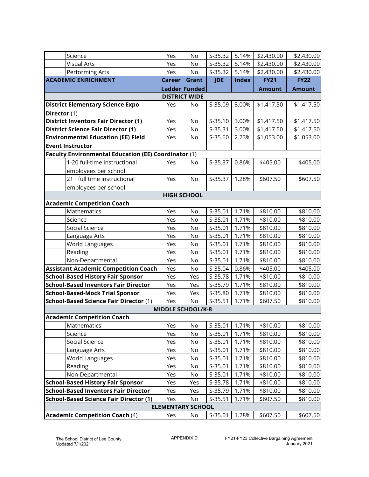| Science                                              | Yes    | No                       | $S-35.32$  | 5.14%        | \$2,430.00    | \$2,430.00    |
|------------------------------------------------------|--------|--------------------------|------------|--------------|---------------|---------------|
| <b>Visual Arts</b>                                   | Yes    | No                       | S-35.32    | 5.14%        | \$2,430.00    | \$2,430.00    |
| Performing Arts                                      | Yes    | No                       | S-35.32    | 5.14%        | \$2,430.00    | \$2,430.00    |
| <b>ACADEMIC ENRICHMENT</b>                           | Career | Grant                    | <b>JDE</b> | <b>Index</b> | <b>FY21</b>   | <b>FY22</b>   |
|                                                      |        | Ladder Funded            |            |              | <b>Amount</b> | <b>Amount</b> |
|                                                      |        | <b>DISTRICT WIDE</b>     |            |              |               |               |
| <b>District Elementary Science Expo</b>              | Yes    | No                       | S-35.09    | 3.00%        | \$1,417.50    | \$1,417.50    |
| Director (1)                                         |        |                          |            |              |               |               |
| <b>District Inventors Fair Director (1)</b>          | Yes    | No                       | S-35.10    | 3.00%        | \$1,417.50    | \$1,417.50    |
| <b>District Science Fair Director (1)</b>            | Yes    | No                       | $S-35.31$  | 3.00%        | \$1,417.50    | \$1,417.50    |
| <b>Environmental Education (EE) Field</b>            | Yes    | No                       | S-35.60    | 2.23%        | \$1,053.00    | \$1,053.00    |
| <b>Event Instructor</b>                              |        |                          |            |              |               |               |
| Faculty Environmental Education (EE) Coordinator (1) |        |                          |            |              |               |               |
| 1-20 full-time instructional                         | Yes    | No                       | S-35.37    | 0.86%        | \$405.00      | \$405.00      |
| employees per school                                 |        |                          |            |              |               |               |
| 21+ full time instructional                          | Yes    | No                       | S-35.37    | 1.28%        | \$607.50      | \$607.50      |
| employees per school                                 |        |                          |            |              |               |               |
|                                                      |        | <b>HIGH SCHOOL</b>       |            |              |               |               |
| <b>Academic Competition Coach</b>                    |        |                          |            |              |               |               |
| Mathematics                                          | Yes    | No                       | $S-35.01$  | 1.71%        | \$810.00      | \$810.00      |
| Science                                              | Yes    | No                       | $S-35.01$  | 1.71%        | \$810.00      | \$810.00      |
| Social Science                                       | Yes    | No                       | S-35.01    | 1.71%        | \$810.00      | \$810.00      |
| Language Arts                                        | Yes    | No                       | S-35.01    | 1.71%        | \$810.00      | \$810.00      |
| World Languages                                      | Yes    | No                       | S-35.01    | 1.71%        | \$810.00      | \$810.00      |
| Reading                                              | Yes    | No                       | $S-35.01$  | 1.71%        | \$810.00      | \$810.00      |
| Non-Departmental                                     | Yes    | No                       | S-35.01    | 1.71%        | \$810.00      | \$810.00      |
| <b>Assistant Academic Competition Coach</b>          | Yes    | No                       | S-35.04    | 0.86%        | \$405.00      | \$405.00      |
| <b>School-Based History Fair Sponsor</b>             | Yes    | Yes                      | S-35.78    | 1.71%        | \$810.00      | \$810.00      |
| <b>School-Based Inventors Fair Director</b>          | Yes    | Yes                      | S-35.79    | 1.71%        | \$810.00      | \$810.00      |
| <b>School-Based-Mock Trial Sponsor</b>               | Yes    | Yes                      | S-35.80    | 1.71%        | \$810.00      | \$810.00      |
| <b>School-Based Science Fair Director (1)</b>        | Yes    | No                       | $S-35.51$  | 1.71%        | \$607.50      | \$810.00      |
|                                                      |        | <b>MIDDLE SCHOOL/K-8</b> |            |              |               |               |
| <b>Academic Competition Coach</b>                    |        |                          |            |              |               |               |
| Mathematics                                          | Yes    | No                       | S-35.01    | 1.71%        | \$810.00      | \$810.00      |
| Science                                              | Yes    | No                       | S-35.01    | 1.71%        | \$810.00      | \$810.00      |
| Social Science                                       | Yes    | No                       | S-35.01    | 1.71%        | \$810.00      | \$810.00      |
| Language Arts                                        | Yes    | No                       | S-35.01    | 1.71%        | \$810.00      | \$810.00      |
| World Languages                                      | Yes    | No                       | S-35.01    | 1.71%        | \$810.00      | \$810.00      |
| Reading                                              | Yes    | No                       | S-35.01    | 1.71%        | \$810.00      | \$810.00      |
| Non-Departmental                                     | Yes    | No                       | S-35.01    | 1.71%        | \$810.00      | \$810.00      |
| <b>School-Based History Fair Sponsor</b>             | Yes    | Yes                      | S-35.78    | 1.71%        | \$810.00      | \$810.00      |
| <b>School-Based Inventors Fair Director</b>          | Yes    | Yes                      | S-35.79    | 1.71%        | \$810.00      | \$810.00      |
| <b>School-Based Science Fair Director (1)</b>        | Yes    | No                       | $S-35.51$  | 1.71%        | \$607.50      | \$810.00      |
|                                                      |        | <b>ELEMENTARY SCHOOL</b> |            |              |               |               |
| <b>Academic Competition Coach (4)</b>                | Yes    | No                       | S-35.01    | 1.28%        | \$607.50      | \$607.50      |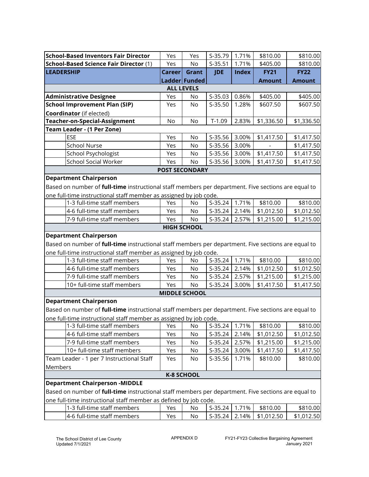| <b>School-Based Inventors Fair Director</b>                                                                | Yes           | Yes                   | S-35.79    | 1.71%        | \$810.00      | \$810.00      |  |  |  |  |
|------------------------------------------------------------------------------------------------------------|---------------|-----------------------|------------|--------------|---------------|---------------|--|--|--|--|
| <b>School-Based Science Fair Director (1)</b>                                                              | Yes           | N <sub>o</sub>        | $S-35.51$  | 1.71%        | \$405.00      | \$810.00      |  |  |  |  |
| <b>LEADERSHIP</b>                                                                                          | <b>Career</b> | Grant                 | <b>JDE</b> | <b>Index</b> | <b>FY21</b>   | <b>FY22</b>   |  |  |  |  |
|                                                                                                            |               | Ladder Funded         |            |              | <b>Amount</b> | <b>Amount</b> |  |  |  |  |
| <b>ALL LEVELS</b>                                                                                          |               |                       |            |              |               |               |  |  |  |  |
| <b>Administrative Designee</b>                                                                             | Yes           | No                    | $S-35.03$  | 0.86%        | \$405.00      | \$405.00      |  |  |  |  |
| <b>School Improvement Plan (SIP)</b>                                                                       | Yes           | N <sub>o</sub>        | $S-35.50$  | 1.28%        | \$607.50      | \$607.50      |  |  |  |  |
| <b>Coordinator</b> (if elected)                                                                            |               |                       |            |              |               |               |  |  |  |  |
| Teacher-on-Special-Assignment                                                                              | No            | No                    | $T-1.09$   | 2.83%        | \$1,336.50    | \$1,336.50    |  |  |  |  |
| Team Leader - (1 Per Zone)                                                                                 |               |                       |            |              |               |               |  |  |  |  |
| ESE                                                                                                        | Yes           | No                    | S-35.56    | 3.00%        | \$1,417.50    | \$1,417.50    |  |  |  |  |
| <b>School Nurse</b>                                                                                        | Yes           | No                    | S-35.56    | 3.00%        |               | \$1,417.50    |  |  |  |  |
| School Psychologist                                                                                        | Yes           | No                    | S-35.56    | 3.00%        | \$1,417.50    | \$1,417.50    |  |  |  |  |
| <b>School Social Worker</b>                                                                                | Yes           | No                    | S-35.56    | 3.00%        | \$1,417.50    | \$1,417.50    |  |  |  |  |
|                                                                                                            |               | <b>POST SECONDARY</b> |            |              |               |               |  |  |  |  |
| <b>Department Chairperson</b>                                                                              |               |                       |            |              |               |               |  |  |  |  |
| Based on number of <b>full-time</b> instructional staff members per department. Five sections are equal to |               |                       |            |              |               |               |  |  |  |  |
| one full-time instructional staff member as assigned by job code.                                          |               |                       |            |              |               |               |  |  |  |  |
| 1-3 full-time staff members                                                                                | Yes           | No                    | $S-35.24$  | 1.71%        | \$810.00      | \$810.00      |  |  |  |  |
| 4-6 full-time staff members                                                                                | Yes           | No                    | S-35.24    | 2.14%        | \$1,012.50    | \$1,012.50    |  |  |  |  |
| 7-9 full-time staff members                                                                                | Yes           | No                    | $S-35.24$  | 2.57%        | \$1,215.00    | \$1,215.00    |  |  |  |  |
|                                                                                                            |               | <b>HIGH SCHOOL</b>    |            |              |               |               |  |  |  |  |
| <b>Department Chairperson</b>                                                                              |               |                       |            |              |               |               |  |  |  |  |
| Based on number of <b>full-time</b> instructional staff members per department. Five sections are equal to |               |                       |            |              |               |               |  |  |  |  |
| one full-time instructional staff member as assigned by job code.                                          |               |                       |            |              |               |               |  |  |  |  |
| 1-3 full-time staff members                                                                                | Yes           | No                    | $S-35.24$  | 1.71%        | \$810.00      | \$810.00      |  |  |  |  |
| 4-6 full-time staff members                                                                                | Yes           | No                    | $S-35.24$  | 2.14%        | \$1,012.50    | \$1,012.50    |  |  |  |  |
| 7-9 full-time staff members                                                                                | Yes           | No                    | $S-35.24$  | 2.57%        | \$1,215.00    | \$1,215.00    |  |  |  |  |
| 10+ full-time staff members                                                                                | Yes           | No                    | $S-35.24$  | 3.00%        | \$1,417.50    | \$1,417.50    |  |  |  |  |
|                                                                                                            |               | <b>MIDDLE SCHOOL</b>  |            |              |               |               |  |  |  |  |
| <b>Department Chairperson</b>                                                                              |               |                       |            |              |               |               |  |  |  |  |
| Based on number of full-time instructional staff members per department. Five sections are equal to        |               |                       |            |              |               |               |  |  |  |  |
| one full-time instructional staff member as assigned by job code.                                          |               |                       |            |              |               |               |  |  |  |  |
| 1-3 full-time staff members                                                                                | Yes           | No                    | S-35.24    | 1.71%        | \$810.00      | \$810.00      |  |  |  |  |
| 4-6 full-time staff members                                                                                | Yes           | No                    | $S-35.24$  | 2.14%        | \$1,012.50    | \$1,012.50    |  |  |  |  |
| 7-9 full-time staff members                                                                                | Yes           | No                    | $S-35.24$  | 2.57%        | \$1,215.00    | \$1,215.00    |  |  |  |  |
| 10+ full-time staff members                                                                                | Yes           | No                    | S-35.24    | 3.00%        | \$1,417.50    | \$1,417.50    |  |  |  |  |
| Team Leader - 1 per 7 Instructional Staff                                                                  | Yes           | No                    | S-35.56    | 1.71%        | \$810.00      | \$810.00      |  |  |  |  |
| Members                                                                                                    |               |                       |            |              |               |               |  |  |  |  |
|                                                                                                            |               | <b>K-8 SCHOOL</b>     |            |              |               |               |  |  |  |  |
| <b>Department Chairperson -MIDDLE</b>                                                                      |               |                       |            |              |               |               |  |  |  |  |
| Based on number of <b>full-time</b> instructional staff members per department. Five sections are equal to |               |                       |            |              |               |               |  |  |  |  |
| one full-time instructional staff member as defined by job code.                                           |               |                       |            |              |               |               |  |  |  |  |
| 1-3 full-time staff members                                                                                | Yes           | No                    | $S-35.24$  | 1.71%        | \$810.00      | \$810.00      |  |  |  |  |
| 4-6 full-time staff members                                                                                | Yes           | No                    | S-35.24    | 2.14%        | \$1,012.50    | \$1,012.50    |  |  |  |  |
|                                                                                                            |               |                       |            |              |               |               |  |  |  |  |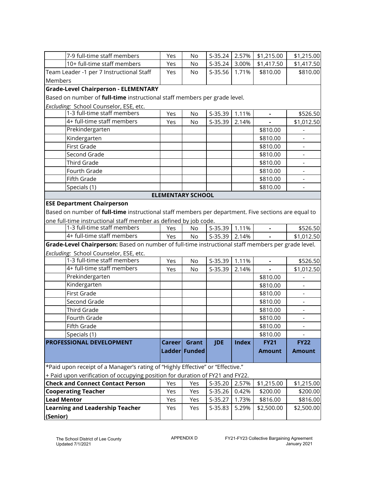|                    | 7-9 full-time staff members                                                                                | Yes           | No                       | $S-35.24$  | 2.57%        | \$1,215.00     | \$1,215.00    |
|--------------------|------------------------------------------------------------------------------------------------------------|---------------|--------------------------|------------|--------------|----------------|---------------|
|                    | 10+ full-time staff members                                                                                | Yes           | No                       | $S-35.24$  | 3.00%        | \$1,417.50     | \$1,417.50    |
|                    | Team Leader -1 per 7 Instructional Staff                                                                   | Yes           | No                       | S-35.56    | 1.71%        | \$810.00       | \$810.00      |
| Members            |                                                                                                            |               |                          |            |              |                |               |
|                    | <b>Grade-Level Chairperson - ELEMENTARY</b>                                                                |               |                          |            |              |                |               |
|                    | Based on number of full-time instructional staff members per grade level.                                  |               |                          |            |              |                |               |
|                    | Excluding: School Counselor, ESE, etc.                                                                     |               |                          |            |              |                |               |
|                    | 1-3 full-time staff members                                                                                | Yes           | <b>No</b>                | S-35.39    | 1.11%        |                | \$526.50      |
|                    | 4+ full-time staff members                                                                                 | Yes           | No                       | S-35.39    | 2.14%        |                | \$1,012.50    |
|                    | Prekindergarten                                                                                            |               |                          |            |              | \$810.00       |               |
|                    | Kindergarten                                                                                               |               |                          |            |              | \$810.00       |               |
|                    | First Grade                                                                                                |               |                          |            |              | \$810.00       |               |
|                    | Second Grade                                                                                               |               |                          |            |              | \$810.00       |               |
|                    | Third Grade                                                                                                |               |                          |            |              | \$810.00       |               |
|                    | Fourth Grade                                                                                               |               |                          |            |              | \$810.00       |               |
|                    | Fifth Grade                                                                                                |               |                          |            |              | \$810.00       |               |
|                    | Specials (1)                                                                                               |               |                          |            |              | \$810.00       |               |
|                    |                                                                                                            |               | <b>ELEMENTARY SCHOOL</b> |            |              |                |               |
|                    | <b>ESE Department Chairperson</b>                                                                          |               |                          |            |              |                |               |
|                    | Based on number of <i>full-time</i> instructional staff members per department. Five sections are equal to |               |                          |            |              |                |               |
|                    | one full-time instructional staff member as defined by job code.                                           |               |                          |            |              |                |               |
|                    | 1-3 full-time staff members                                                                                | Yes           | <b>No</b>                | $S-35.39$  | 1.11%        | $\blacksquare$ | \$526.50      |
|                    | 4+ full-time staff members                                                                                 | Yes           | No                       | $S-35.39$  | 2.14%        | $\overline{a}$ | \$1,012.50    |
|                    | Grade-Level Chairperson: Based on number of full-time instructional staff members per grade level.         |               |                          |            |              |                |               |
|                    | Excluding: School Counselor, ESE, etc.                                                                     |               |                          |            |              |                |               |
|                    | 1-3 full-time staff members                                                                                | Yes           | No                       | S-35.39    | 1.11%        | $\blacksquare$ | \$526.50      |
|                    | 4+ full-time staff members                                                                                 | Yes           | No                       | S-35.39    | 2.14%        |                | \$1,012.50    |
|                    | Prekindergarten                                                                                            |               |                          |            |              | \$810.00       |               |
|                    | Kindergarten                                                                                               |               |                          |            |              | \$810.00       |               |
|                    | <b>First Grade</b>                                                                                         |               |                          |            |              | \$810.00       |               |
|                    | Second Grade                                                                                               |               |                          |            |              | \$810.00       |               |
|                    | <b>Third Grade</b>                                                                                         |               |                          |            |              | \$810.00       |               |
|                    | Fourth Grade                                                                                               |               |                          |            |              | \$810.00       |               |
|                    | Fifth Grade                                                                                                |               |                          |            |              | \$810.00       |               |
|                    | Specials (1)                                                                                               |               |                          |            |              | \$810.00       |               |
|                    | PROFESSIONAL DEVELOPMENT                                                                                   | <b>Career</b> | Grant                    | <b>JDE</b> | <b>Index</b> | <b>FY21</b>    | <b>FY22</b>   |
|                    |                                                                                                            |               | Ladder Funded            |            |              | <b>Amount</b>  | <b>Amount</b> |
|                    |                                                                                                            |               |                          |            |              |                |               |
|                    | *Paid upon receipt of a Manager's rating of "Highly Effective" or "Effective."                             |               |                          |            |              |                |               |
|                    | + Paid upon verification of occupying position for duration of FY21 and FY22.                              |               |                          |            |              |                |               |
|                    | <b>Check and Connect Contact Person</b>                                                                    | Yes           | Yes                      | $S-35.20$  | 2.57%        | \$1,215.00     | \$1,215.00    |
|                    | <b>Cooperating Teacher</b>                                                                                 | Yes           | Yes                      | S-35.26    | 0.42%        | \$200.00       | \$200.00      |
| <b>Lead Mentor</b> |                                                                                                            | Yes           | Yes                      | S-35.27    | 1.73%        | \$816.00       | \$816.00      |
|                    | <b>Learning and Leadership Teacher</b>                                                                     | Yes           | Yes                      | S-35.83    | 5.29%        | \$2,500.00     | \$2,500.00    |
| (Senior)           |                                                                                                            |               |                          |            |              |                |               |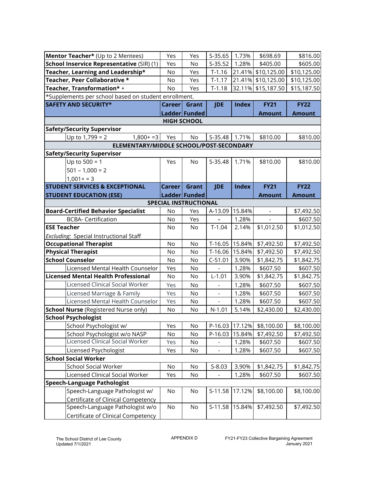| Mentor Teacher* (Up to 2 Mentees)                    | Yes           | Yes                   | $S-35.65$      | 1.73%        | \$698.69           | \$816.00      |  |
|------------------------------------------------------|---------------|-----------------------|----------------|--------------|--------------------|---------------|--|
| School Inservice Representative (SIR) (1)            | Yes           | No                    | $S-35.52$      | 1.28%        | \$405.00           | \$605.00      |  |
| Teacher, Learning and Leadership*                    | No            | Yes                   | $T-1.16$       |              | 21.41% \$10,125.00 | \$10,125.00   |  |
| Teacher, Peer Collaborative *                        | No            | Yes                   | $T-1.17$       |              | 21.41% \$10,125.00 | \$10,125.00   |  |
| Teacher, Transformation* +                           | No            | Yes                   | $T-1.18$       |              | 32.11% \$15,187.50 | \$15,187.50   |  |
| *Supplements per school based on student enrollment. |               |                       |                |              |                    |               |  |
| <b>SAFETY AND SECURITY*</b>                          | Career        | Grant                 | <b>JDE</b>     | <b>Index</b> | <b>FY21</b>        | <b>FY22</b>   |  |
|                                                      |               | Ladder Funded         |                |              | <b>Amount</b>      | <b>Amount</b> |  |
| <b>HIGH SCHOOL</b>                                   |               |                       |                |              |                    |               |  |
| <b>Safety/Security Supervisor</b>                    |               |                       |                |              |                    |               |  |
| Up to $1,799 = 2$<br>$1,800+ = 3$                    | Yes           | No                    | S-35.48        | 1.71%        | \$810.00           | \$810.00      |  |
| ELEMENTARY/MIDDLE SCHOOL/POST-SECONDARY              |               |                       |                |              |                    |               |  |
| <b>Safety/Security Supervisor</b>                    |               |                       |                |              |                    |               |  |
| Up to $500 = 1$                                      | Yes           | No                    | $S-35.48$      | 1.71%        | \$810.00           | \$810.00      |  |
| $501 - 1,000 = 2$                                    |               |                       |                |              |                    |               |  |
| $1,001+=3$                                           |               |                       |                |              |                    |               |  |
| <b>STUDENT SERVICES &amp; EXCEPTIONAL</b>            | <b>Career</b> | Grant                 | <b>JDE</b>     | <b>Index</b> | <b>FY21</b>        | <b>FY22</b>   |  |
| <b>STUDENT EDUCATION (ESE)</b>                       |               | Ladder Funded         |                |              | <b>Amount</b>      | <b>Amount</b> |  |
|                                                      |               | SPECIAL INSTRUCTIONAL |                |              |                    |               |  |
| <b>Board-Certified Behavior Specialist</b>           | No            | Yes                   | A-13.09        | 15.84%       | $\blacksquare$     | \$7,492.50    |  |
| <b>BCBA- Certification</b>                           | No            | Yes                   | ÷,             | 1.28%        | $\blacksquare$     | \$607.50      |  |
| <b>ESE Teacher</b>                                   | No            | No                    | $T-1.04$       | 2.14%        | \$1,012.50         | \$1,012.50    |  |
| Excluding: Special Instructional Staff               |               |                       |                |              |                    |               |  |
| <b>Occupational Therapist</b>                        | No            | No                    | $T-16.05$      | 15.84%       | \$7,492.50         | \$7,492.50    |  |
| <b>Physical Therapist</b>                            | No            | No                    | $T-16.06$      | 15.84%       | \$7,492.50         | \$7,492.50    |  |
| <b>School Counselor</b>                              | No            | No                    | $C-51.01$      | 3.90%        | \$1,842.75         | \$1,842.75    |  |
| Licensed Mental Health Counselor                     | Yes           | No                    | $\frac{1}{2}$  | 1.28%        | \$607.50           | \$607.50      |  |
| <b>Licensed Mental Health Professional</b>           | No            | No                    | $L-1.01$       | 3.90%        | \$1,842.75         | \$1,842.75    |  |
| <b>Licensed Clinical Social Worker</b>               | Yes           | No                    |                | 1.28%        | \$607.50           | \$607.50      |  |
| Licensed Marriage & Family                           | Yes           | No                    |                | 1.28%        | \$607.50           | \$607.50      |  |
| Licensed Mental Health Counselor                     | Yes           | No                    | $\blacksquare$ | 1.28%        | \$607.50           | \$607.50      |  |
| <b>School Nurse (Registered Nurse only)</b>          | No            | No                    | $N-1.01$       | 5.14%        | \$2,430.00         | \$2,430.00    |  |
| <b>School Psychologist</b>                           |               |                       |                |              |                    |               |  |
| School Psychologist w/                               | Yes           | No                    | P-16.03        | 17.12%       | \$8,100.00         | \$8,100.00    |  |
| School Psychologist w/o NASP                         | No            | No                    | P-16.03        | 15.84%       | \$7,492.50         | \$7,492.50    |  |
| <b>Licensed Clinical Social Worker</b>               | Yes           | No                    |                | 1.28%        | \$607.50           | \$607.50      |  |
| Licensed Psychologist                                | Yes           | No                    |                | 1.28%        | \$607.50           | \$607.50      |  |
| <b>School Social Worker</b>                          |               |                       |                |              |                    |               |  |
| <b>School Social Worker</b>                          | No            | No                    | $S-8.03$       | 3.90%        | \$1,842.75         | \$1,842.75    |  |
| Licensed Clinical Social Worker                      | Yes           | No                    |                | 1.28%        | \$607.50           | \$607.50      |  |
| <b>Speech-Language Pathologist</b>                   |               |                       |                |              |                    |               |  |
| Speech-Language Pathologist w/                       | No            | No                    | S-11.58        | 17.12%       | \$8,100.00         | \$8,100.00    |  |
| <b>Certificate of Clinical Competency</b>            |               |                       |                |              |                    |               |  |
| Speech-Language Pathologist w/o                      | No            | No                    | S-11.58        | 15.84%       | \$7,492.50         | \$7,492.50    |  |
| Certificate of Clinical Competency                   |               |                       |                |              |                    |               |  |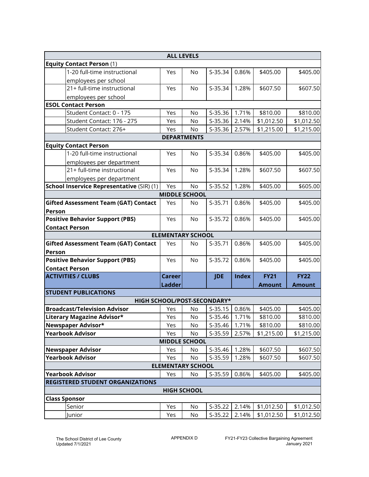|                                                                                  |                          | <b>ALL LEVELS</b>    |            |              |               |               |  |  |
|----------------------------------------------------------------------------------|--------------------------|----------------------|------------|--------------|---------------|---------------|--|--|
| <b>Equity Contact Person (1)</b>                                                 |                          |                      |            |              |               |               |  |  |
| 1-20 full-time instructional                                                     | Yes                      | No                   | S-35.34    | 0.86%        | \$405.00      | \$405.00      |  |  |
| employees per school                                                             |                          |                      |            |              |               |               |  |  |
| 21+ full-time instructional                                                      | Yes                      | No                   | S-35.34    | 1.28%        | \$607.50      | \$607.50      |  |  |
| employees per school                                                             |                          |                      |            |              |               |               |  |  |
| <b>ESOL Contact Person</b>                                                       |                          |                      |            |              |               |               |  |  |
| Student Contact: 0 - 175                                                         | Yes                      | No                   | $S-35.36$  | 1.71%        | \$810.00      | \$810.00      |  |  |
| Student Contact: 176 - 275                                                       | Yes                      | No                   | S-35.36    | 2.14%        | \$1,012.50    | \$1,012.50    |  |  |
| Student Contact: 276+                                                            | Yes                      | No                   | S-35.36    | 2.57%        | \$1,215.00    | \$1,215.00    |  |  |
|                                                                                  |                          | <b>DEPARTMENTS</b>   |            |              |               |               |  |  |
| <b>Equity Contact Person</b>                                                     |                          |                      |            |              |               |               |  |  |
| 1-20 full-time instructional                                                     | Yes                      | <b>No</b>            | S-35.34    | 0.86%        | \$405.00      | \$405.00      |  |  |
| employees per department                                                         |                          |                      |            |              |               |               |  |  |
| 21+ full-time instructional                                                      | Yes                      | No                   | S-35.34    | 1.28%        | \$607.50      | \$607.50      |  |  |
| employees per department                                                         |                          |                      |            |              |               |               |  |  |
| School Inservice Representative (SIR) (1)                                        | Yes                      | No                   | $S-35.52$  | 1.28%        | \$405.00      | \$605.00      |  |  |
|                                                                                  |                          | <b>MIDDLE SCHOOL</b> |            |              |               |               |  |  |
| <b>Gifted Assessment Team (GAT) Contact</b>                                      | Yes                      | No                   | $S-35.71$  | 0.86%        | \$405.00      | \$405.00      |  |  |
| Person                                                                           |                          |                      |            |              |               |               |  |  |
| <b>Positive Behavior Support (PBS)</b>                                           | Yes                      | No                   | S-35.72    | 0.86%        | \$405.00      | \$405.00      |  |  |
| <b>Contact Person</b>                                                            |                          |                      |            |              |               |               |  |  |
| <b>ELEMENTARY SCHOOL</b>                                                         |                          |                      |            |              |               |               |  |  |
| <b>Gifted Assessment Team (GAT) Contact</b>                                      | Yes                      | <b>No</b>            | S-35.71    | 0.86%        | \$405.00      | \$405.00      |  |  |
| Person                                                                           |                          |                      |            |              |               |               |  |  |
| <b>Positive Behavior Support (PBS)</b>                                           | Yes                      | <b>No</b>            | S-35.72    | 0.86%        | \$405.00      | \$405.00      |  |  |
| <b>Contact Person</b>                                                            |                          |                      |            |              |               |               |  |  |
| <b>ACTIVITIES / CLUBS</b>                                                        | <b>Career</b>            |                      | <b>JDE</b> | <b>Index</b> | <b>FY21</b>   | <b>FY22</b>   |  |  |
|                                                                                  | <b>Ladder</b>            |                      |            |              | <b>Amount</b> | <b>Amount</b> |  |  |
| <b>STUDENT PUBLICATIONS</b>                                                      |                          |                      |            |              |               |               |  |  |
| HIGH SCHOOL/POST-SECONDARY*                                                      |                          |                      |            |              |               |               |  |  |
| <b>Broadcast/Television Advisor</b>                                              | Yes                      | No                   | $S-35.15$  | 0.86%        | \$405.00      | \$405.00      |  |  |
| Literary Magazine Advisor*                                                       | Yes                      | No                   | $S-35.46$  | 1.71%        | \$810.00      | \$810.00      |  |  |
| Newspaper Advisor*                                                               | Yes                      | No                   | S-35.46    | 1.71%        | \$810.00      | \$810.00      |  |  |
| <b>Yearbook Advisor</b>                                                          | Yes                      | No                   | S-35.59    | 2.57%        | \$1,215.00    | \$1,215.00    |  |  |
|                                                                                  |                          | <b>MIDDLE SCHOOL</b> |            |              |               |               |  |  |
| <b>Newspaper Advisor</b>                                                         | Yes                      | No                   | S-35.46    | 1.28%        | \$607.50      | \$607.50      |  |  |
| <b>Yearbook Advisor</b>                                                          | Yes                      | No                   | S-35.59    | 1.28%        | \$607.50      | \$607.50      |  |  |
|                                                                                  | <b>ELEMENTARY SCHOOL</b> |                      |            |              |               |               |  |  |
| S-35.59<br>0.86%<br><b>Yearbook Advisor</b><br>\$405.00<br>\$405.00<br>Yes<br>No |                          |                      |            |              |               |               |  |  |
| <b>REGISTERED STUDENT ORGANIZATIONS</b>                                          |                          |                      |            |              |               |               |  |  |
|                                                                                  |                          | <b>HIGH SCHOOL</b>   |            |              |               |               |  |  |
| <b>Class Sponsor</b>                                                             |                          |                      |            |              |               |               |  |  |
| Senior                                                                           | Yes                      | No                   | S-35.22    | 2.14%        | \$1,012.50    | \$1,012.50    |  |  |
| Junior                                                                           | Yes                      | No                   | $S-35.22$  | 2.14%        | \$1,012.50    | \$1,012.50    |  |  |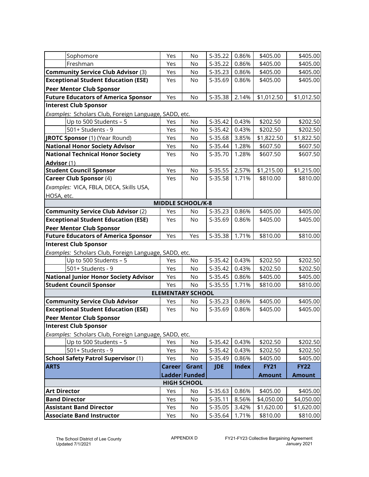|                              | Sophomore                                             | Yes           | No                       | $S-35.22$  | 0.86%        | \$405.00      | \$405.00      |  |  |
|------------------------------|-------------------------------------------------------|---------------|--------------------------|------------|--------------|---------------|---------------|--|--|
|                              | Freshman                                              | Yes           | No                       | $S-35.22$  | 0.86%        | \$405.00      | \$405.00      |  |  |
|                              | <b>Community Service Club Advisor (3)</b>             | Yes           | No                       | $S-35.23$  | 0.86%        | \$405.00      | \$405.00      |  |  |
|                              | <b>Exceptional Student Education (ESE)</b>            | Yes           | No                       | S-35.69    | 0.86%        | \$405.00      | \$405.00      |  |  |
|                              | <b>Peer Mentor Club Sponsor</b>                       |               |                          |            |              |               |               |  |  |
|                              | <b>Future Educators of America Sponsor</b>            | Yes           | No                       | S-35.38    | 2.14%        | \$1,012.50    | \$1,012.50    |  |  |
|                              | <b>Interest Club Sponsor</b>                          |               |                          |            |              |               |               |  |  |
|                              | Examples: Scholars Club, Foreign Language, SADD, etc. |               |                          |            |              |               |               |  |  |
|                              | Up to 500 Students - 5                                | Yes           | No                       | $S-35.42$  | 0.43%        | \$202.50      | \$202.50      |  |  |
|                              | 501+ Students - 9                                     | Yes           | No                       | $S-35.42$  | 0.43%        | \$202.50      | \$202.50      |  |  |
|                              | JROTC Sponsor (1) (Year Round)                        | Yes           | No                       | S-35.68    | 3.85%        | \$1,822.50    | \$1,822.50    |  |  |
|                              | <b>National Honor Society Advisor</b>                 | Yes           | No                       | S-35.44    | 1.28%        | \$607.50      | \$607.50      |  |  |
|                              | <b>National Technical Honor Society</b>               | Yes           | No                       | S-35.70    | 1.28%        | \$607.50      | \$607.50      |  |  |
| <b>Advisor (1)</b>           |                                                       |               |                          |            |              |               |               |  |  |
|                              | <b>Student Council Sponsor</b>                        | Yes           | No                       | $S-35.55$  | 2.57%        | \$1,215.00    | \$1,215.00    |  |  |
|                              | <b>Career Club Sponsor (4)</b>                        | Yes           | No                       | $S-35.58$  | 1.71%        | \$810.00      | \$810.00      |  |  |
|                              | Examples: VICA, FBLA, DECA, Skills USA,               |               |                          |            |              |               |               |  |  |
| HOSA, etc.                   |                                                       |               |                          |            |              |               |               |  |  |
| <b>MIDDLE SCHOOL/K-8</b>     |                                                       |               |                          |            |              |               |               |  |  |
|                              | <b>Community Service Club Advisor (2)</b>             | Yes           | No                       | $S-35.23$  | 0.86%        | \$405.00      | \$405.00      |  |  |
|                              | <b>Exceptional Student Education (ESE)</b>            | Yes           | No                       | S-35.69    | 0.86%        | \$405.00      | \$405.00      |  |  |
|                              | <b>Peer Mentor Club Sponsor</b>                       |               |                          |            |              |               |               |  |  |
|                              | <b>Future Educators of America Sponsor</b>            | Yes           | Yes                      | S-35.38    | 1.71%        | \$810.00      | \$810.00      |  |  |
| <b>Interest Club Sponsor</b> |                                                       |               |                          |            |              |               |               |  |  |
|                              | Examples: Scholars Club, Foreign Language, SADD, etc. |               |                          |            |              |               |               |  |  |
|                              | Up to 500 Students - 5                                | Yes           | No                       | $S-35.42$  | 0.43%        | \$202.50      | \$202.50      |  |  |
|                              | 501+ Students - 9                                     | Yes           | No                       | $S-35.42$  | 0.43%        | \$202.50      | \$202.50      |  |  |
|                              | <b>National Junior Honor Society Advisor</b>          | Yes           | No                       | $S-35.45$  | 0.86%        | \$405.00      | \$405.00      |  |  |
|                              | <b>Student Council Sponsor</b>                        | Yes           | No                       | $S-35.55$  | 1.71%        | \$810.00      | \$810.00      |  |  |
|                              |                                                       |               | <b>ELEMENTARY SCHOOL</b> |            |              |               |               |  |  |
|                              | <b>Community Service Club Advisor</b>                 | Yes           | No                       | $S-35.23$  | 0.86%        | \$405.00      | \$405.00      |  |  |
|                              | <b>Exceptional Student Education (ESE)</b>            | Yes           | No                       | S-35.69    | 0.86%        | \$405.00      | \$405.00      |  |  |
|                              | <b>Peer Mentor Club Sponsor</b>                       |               |                          |            |              |               |               |  |  |
|                              | <b>Interest Club Sponsor</b>                          |               |                          |            |              |               |               |  |  |
|                              | Examples: Scholars Club, Foreign Language, SADD, etc. |               |                          |            |              |               |               |  |  |
|                              | Up to 500 Students - $5$                              | Yes           | No                       | S-35.42    | 0.43%        | \$202.50      | \$202.50      |  |  |
|                              | 501+ Students - 9                                     | Yes           | No                       | $S-35.42$  | 0.43%        | \$202.50      | \$202.50      |  |  |
|                              | <b>School Safety Patrol Supervisor (1)</b>            | Yes           | No                       | S-35.49    | 0.86%        | \$405.00      | \$405.00      |  |  |
| <b>ARTS</b>                  |                                                       | <b>Career</b> | Grant                    | <b>JDE</b> | <b>Index</b> | <b>FY21</b>   | <b>FY22</b>   |  |  |
|                              |                                                       |               | Ladder Funded            |            |              | <b>Amount</b> | <b>Amount</b> |  |  |
|                              |                                                       |               | <b>HIGH SCHOOL</b>       |            |              |               |               |  |  |
| <b>Art Director</b>          |                                                       | Yes           | No                       | $S-35.63$  | 0.86%        | \$405.00      | \$405.00      |  |  |
|                              | <b>Band Director</b>                                  | Yes           | No                       | $S-35.11$  | 8.56%        | \$4,050.00    | \$4,050.00    |  |  |
|                              | <b>Assistant Band Director</b>                        | Yes           | No                       | S-35.05    | 3.42%        | \$1,620.00    | \$1,620.00    |  |  |
|                              | <b>Associate Band Instructor</b>                      | Yes           | No                       | S-35.64    | 1.71%        | \$810.00      | \$810.00      |  |  |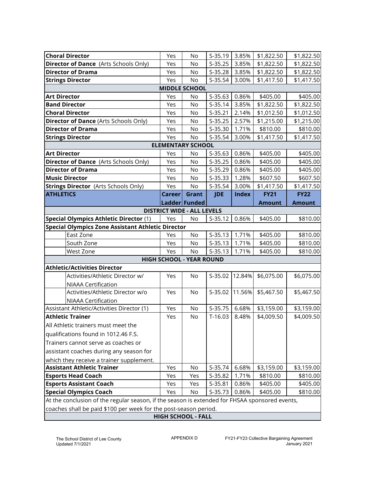|                                                                  | <b>Choral Director</b>                                                                                   | Yes           | No                              | $S-35.19$  | 3.85%        | \$1,822.50    | \$1,822.50    |  |  |  |
|------------------------------------------------------------------|----------------------------------------------------------------------------------------------------------|---------------|---------------------------------|------------|--------------|---------------|---------------|--|--|--|
|                                                                  | <b>Director of Dance</b> (Arts Schools Only)                                                             | Yes           | No                              | $S-35.25$  | 3.85%        | \$1,822.50    | \$1,822.50    |  |  |  |
|                                                                  | <b>Director of Drama</b>                                                                                 | Yes           | No                              | S-35.28    | 3.85%        | \$1,822.50    | \$1,822.50    |  |  |  |
|                                                                  | <b>Strings Director</b>                                                                                  | Yes           | No                              | S-35.54    | 3.00%        | \$1,417.50    | \$1,417.50    |  |  |  |
| <b>MIDDLE SCHOOL</b>                                             |                                                                                                          |               |                                 |            |              |               |               |  |  |  |
| <b>Art Director</b>                                              |                                                                                                          | Yes           | No                              | S-35.63    | 0.86%        | \$405.00      | \$405.00      |  |  |  |
|                                                                  | <b>Band Director</b>                                                                                     | Yes           | No                              | S-35.14    | 3.85%        | \$1,822.50    | \$1,822.50    |  |  |  |
|                                                                  | <b>Choral Director</b>                                                                                   | Yes           | No                              | $S-35.21$  | 2.14%        | \$1,012.50    | \$1,012.50    |  |  |  |
|                                                                  | <b>Director of Dance (Arts Schools Only)</b>                                                             | Yes           | No                              | $S-35.25$  | 2.57%        | \$1,215.00    | \$1,215.00    |  |  |  |
|                                                                  | <b>Director of Drama</b>                                                                                 | Yes           | No                              | S-35.30    | 1.71%        | \$810.00      | \$810.00      |  |  |  |
|                                                                  | <b>Strings Director</b>                                                                                  | Yes           | No                              | S-35.54    | 3.00%        | \$1,417.50    | \$1,417.50    |  |  |  |
|                                                                  |                                                                                                          |               | <b>ELEMENTARY SCHOOL</b>        |            |              |               |               |  |  |  |
| <b>Art Director</b>                                              |                                                                                                          | Yes           | No                              | S-35.63    | 0.86%        | \$405.00      | \$405.00      |  |  |  |
|                                                                  | <b>Director of Dance</b> (Arts Schools Only)                                                             | Yes           | No                              | $S-35.25$  | 0.86%        | \$405.00      | \$405.00      |  |  |  |
|                                                                  | <b>Director of Drama</b>                                                                                 | Yes           | No                              | S-35.29    | 0.86%        | \$405.00      | \$405.00      |  |  |  |
|                                                                  | <b>Music Director</b>                                                                                    | Yes           | No                              | $S-35.33$  | 1.28%        | \$607.50      | \$607.50      |  |  |  |
|                                                                  | <b>Strings Director (Arts Schools Only)</b>                                                              | Yes           | No                              | S-35.54    | 3.00%        | \$1,417.50    | \$1,417.50    |  |  |  |
| <b>ATHLETICS</b>                                                 |                                                                                                          | <b>Career</b> | Grant                           | <b>JDE</b> | <b>Index</b> | <b>FY21</b>   | <b>FY22</b>   |  |  |  |
|                                                                  |                                                                                                          |               | Ladder Funded                   |            |              | <b>Amount</b> | <b>Amount</b> |  |  |  |
| <b>DISTRICT WIDE - ALL LEVELS</b>                                |                                                                                                          |               |                                 |            |              |               |               |  |  |  |
|                                                                  | <b>Special Olympics Athletic Director (1)</b><br>$S-35.12$<br>0.86%<br>Yes<br>No<br>\$405.00<br>\$810.00 |               |                                 |            |              |               |               |  |  |  |
|                                                                  | <b>Special Olympics Zone Assistant Athletic Director</b>                                                 |               |                                 |            |              |               |               |  |  |  |
|                                                                  | East Zone                                                                                                | Yes           | No                              | $S-35.13$  | 1.71%        | \$405.00      | \$810.00      |  |  |  |
|                                                                  | South Zone                                                                                               | Yes           | No                              | $S-35.13$  | 1.71%        | \$405.00      | \$810.00      |  |  |  |
|                                                                  | West Zone                                                                                                | Yes           | No                              | $S-35.13$  | 1.71%        | \$405.00      | \$810.00      |  |  |  |
|                                                                  |                                                                                                          |               | <b>HIGH SCHOOL - YEAR ROUND</b> |            |              |               |               |  |  |  |
|                                                                  | <b>Athletic/Activities Director</b>                                                                      |               |                                 |            |              |               |               |  |  |  |
|                                                                  | Activities/Athletic Director w/                                                                          | Yes           | No                              | S-35.02    | 12.84%       | \$6,075.00    | \$6,075.00    |  |  |  |
|                                                                  | NIAAA Certification                                                                                      |               |                                 |            |              |               |               |  |  |  |
|                                                                  | Activities/Athletic Director w/o                                                                         | Yes           | No                              | S-35.02    | 11.56%       | \$5,467.50    | \$5,467.50    |  |  |  |
|                                                                  | NIAAA Certification                                                                                      |               |                                 |            |              |               |               |  |  |  |
|                                                                  | Assistant Athletic/Activities Director (1)                                                               | Yes           | No                              | S-35.75    | 6.68%        | \$3,159.00    | \$3,159.00    |  |  |  |
|                                                                  | <b>Athletic Trainer</b>                                                                                  | Yes           | No                              | $T-16.03$  | 8.48%        | \$4,009.50    | \$4,009.50    |  |  |  |
|                                                                  | All Athletic trainers must meet the                                                                      |               |                                 |            |              |               |               |  |  |  |
|                                                                  | qualifications found in 1012.46 F.S.                                                                     |               |                                 |            |              |               |               |  |  |  |
|                                                                  | Trainers cannot serve as coaches or                                                                      |               |                                 |            |              |               |               |  |  |  |
|                                                                  | assistant coaches during any season for                                                                  |               |                                 |            |              |               |               |  |  |  |
|                                                                  | which they receive a trainer supplement.                                                                 |               |                                 |            |              |               |               |  |  |  |
|                                                                  | <b>Assistant Athletic Trainer</b>                                                                        | Yes           | No                              | S-35.74    | 6.68%        | \$3,159.00    | \$3,159.00    |  |  |  |
|                                                                  | <b>Esports Head Coach</b>                                                                                | Yes           | Yes                             | S-35.82    | 1.71%        | \$810.00      | \$810.00      |  |  |  |
|                                                                  | <b>Esports Assistant Coach</b>                                                                           | Yes           | Yes                             | S-35.81    | 0.86%        | \$405.00      | \$405.00      |  |  |  |
|                                                                  | <b>Special Olympics Coach</b>                                                                            | Yes           | No                              | $S-35.73$  | 0.86%        | \$405.00      | \$810.00      |  |  |  |
|                                                                  | At the conclusion of the regular season, if the season is extended for FHSAA sponsored events,           |               |                                 |            |              |               |               |  |  |  |
| coaches shall be paid \$100 per week for the post-season period. |                                                                                                          |               |                                 |            |              |               |               |  |  |  |

**HIGH SCHOOL - FALL**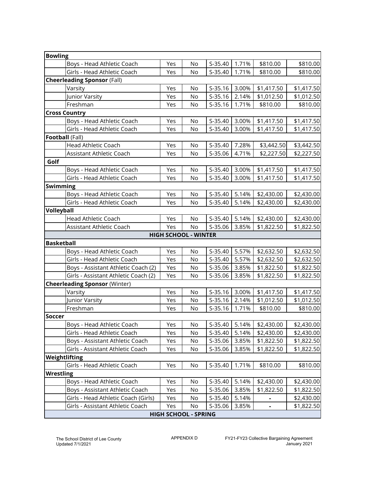| <b>Bowling</b>       |                                      |     |                             |           |       |            |            |
|----------------------|--------------------------------------|-----|-----------------------------|-----------|-------|------------|------------|
|                      | Boys - Head Athletic Coach           | Yes | No                          | S-35.40   | 1.71% | \$810.00   | \$810.00   |
|                      | Girls - Head Athletic Coach          | Yes | No                          | S-35.40   | 1.71% | \$810.00   | \$810.00   |
|                      | <b>Cheerleading Sponsor (Fall)</b>   |     |                             |           |       |            |            |
|                      | Varsity                              | Yes | No                          | $S-35.16$ | 3.00% | \$1,417.50 | \$1,417.50 |
|                      | Junior Varsity                       | Yes | <b>No</b>                   | $S-35.16$ | 2.14% | \$1,012.50 | \$1,012.50 |
|                      | Freshman                             | Yes | No                          | $S-35.16$ | 1.71% | \$810.00   | \$810.00   |
| <b>Cross Country</b> |                                      |     |                             |           |       |            |            |
|                      | Boys - Head Athletic Coach           | Yes | No                          | S-35.40   | 3.00% | \$1,417.50 | \$1,417.50 |
|                      | Girls - Head Athletic Coach          | Yes | No                          | S-35.40   | 3.00% | \$1,417.50 | \$1,417.50 |
| Football (Fall)      |                                      |     |                             |           |       |            |            |
|                      | <b>Head Athletic Coach</b>           | Yes | No                          | S-35.40   | 7.28% | \$3,442.50 | \$3,442.50 |
|                      | Assistant Athletic Coach             | Yes | No                          | S-35.06   | 4.71% | \$2,227.50 | \$2,227.50 |
| Golf                 |                                      |     |                             |           |       |            |            |
|                      | Boys - Head Athletic Coach           | Yes | No                          | S-35.40   | 3.00% | \$1,417.50 | \$1,417.50 |
|                      | Girls - Head Athletic Coach          | Yes | No                          | S-35.40   | 3.00% | \$1,417.50 | \$1,417.50 |
| <b>Swimming</b>      |                                      |     |                             |           |       |            |            |
|                      | Boys - Head Athletic Coach           | Yes | No                          | S-35.40   | 5.14% | \$2,430.00 | \$2,430.00 |
|                      | Girls - Head Athletic Coach          | Yes | No                          | S-35.40   | 5.14% | \$2,430.00 | \$2,430.00 |
| Volleyball           |                                      |     |                             |           |       |            |            |
|                      | Head Athletic Coach                  | Yes | No                          | $S-35.40$ | 5.14% | \$2,430.00 | \$2,430.00 |
|                      | <b>Assistant Athletic Coach</b>      | Yes | <b>No</b>                   | S-35.06   | 3.85% | \$1,822.50 | \$1,822.50 |
|                      |                                      |     | <b>HIGH SCHOOL - WINTER</b> |           |       |            |            |
| <b>Basketball</b>    |                                      |     |                             |           |       |            |            |
|                      | Boys - Head Athletic Coach           | Yes | No                          | S-35.40   | 5.57% | \$2,632.50 | \$2,632.50 |
|                      | Girls - Head Athletic Coach          | Yes | No                          | S-35.40   | 5.57% | \$2,632.50 | \$2,632.50 |
|                      | Boys - Assistant Athletic Coach (2)  | Yes | No                          | S-35.06   | 3.85% | \$1,822.50 | \$1,822.50 |
|                      | Girls - Assistant Athletic Coach (2) | Yes | No                          | S-35.06   | 3.85% | \$1,822.50 | \$1,822.50 |
|                      | <b>Cheerleading Sponsor (Winter)</b> |     |                             |           |       |            |            |
|                      | Varsity                              | Yes | No                          | $S-35.16$ | 3.00% | \$1,417.50 | \$1,417.50 |
|                      | Junior Varsity                       | Yes | No                          | $S-35.16$ | 2.14% | \$1,012.50 | \$1,012.50 |
|                      | Freshman                             | Yes | No                          | $S-35.16$ | 1.71% | \$810.00   | \$810.00   |
| <b>Soccer</b>        |                                      |     |                             |           |       |            |            |
|                      | Boys - Head Athletic Coach           | Yes | No                          | S-35.40   | 5.14% | \$2,430.00 | \$2,430.00 |
|                      | Girls - Head Athletic Coach          | Yes | No                          | S-35.40   | 5.14% | \$2,430.00 | \$2,430.00 |
|                      | Boys - Assistant Athletic Coach      | Yes | No                          | S-35.06   | 3.85% | \$1,822.50 | \$1,822.50 |
|                      | Girls - Assistant Athletic Coach     | Yes | No                          | S-35.06   | 3.85% | \$1,822.50 | \$1,822.50 |
| Weightlifting        |                                      |     |                             |           |       |            |            |
|                      | Girls - Head Athletic Coach          | Yes | No                          | S-35.40   | 1.71% | \$810.00   | \$810.00   |
| <b>Wrestling</b>     |                                      |     |                             |           |       |            |            |
|                      | Boys - Head Athletic Coach           | Yes | No                          | S-35.40   | 5.14% | \$2,430.00 | \$2,430.00 |
|                      | Boys - Assistant Athletic Coach      | Yes | No                          | S-35.06   | 3.85% | \$1,822.50 | \$1,822.50 |
|                      | Girls - Head Athletic Coach (Girls)  | Yes | No                          | S-35.40   | 5.14% |            | \$2,430.00 |
|                      | Girls - Assistant Athletic Coach     | Yes | No                          | S-35.06   | 3.85% |            | \$1,822.50 |
|                      |                                      |     | <b>HIGH SCHOOL - SPRING</b> |           |       |            |            |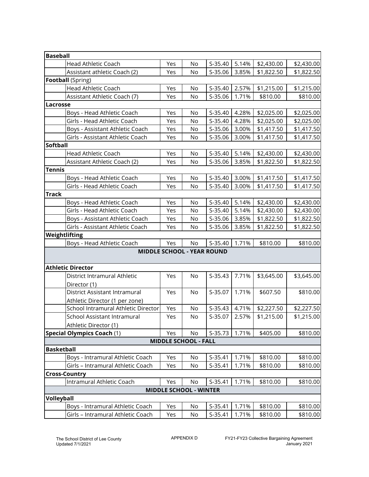| <b>Baseball</b>   |                                     |     |                               |                                   |       |            |            |
|-------------------|-------------------------------------|-----|-------------------------------|-----------------------------------|-------|------------|------------|
|                   | Head Athletic Coach                 | Yes | No                            | S-35.40                           | 5.14% | \$2,430.00 | \$2,430.00 |
|                   | Assistant athletic Coach (2)        | Yes | No                            | S-35.06                           | 3.85% | \$1,822.50 | \$1,822.50 |
|                   | <b>Football</b> (Spring)            |     |                               |                                   |       |            |            |
|                   | Head Athletic Coach                 | Yes | No                            | S-35.40                           | 2.57% | \$1,215.00 | \$1,215.00 |
|                   | Assistant Athletic Coach (7)        | Yes | No                            | S-35.06                           | 1.71% | \$810.00   | \$810.00   |
| <b>Lacrosse</b>   |                                     |     |                               |                                   |       |            |            |
|                   | Boys - Head Athletic Coach          | Yes | No                            | S-35.40                           | 4.28% | \$2,025.00 | \$2,025.00 |
|                   | Girls - Head Athletic Coach         | Yes | No                            | S-35.40                           | 4.28% | \$2,025.00 | \$2,025.00 |
|                   | Boys - Assistant Athletic Coach     | Yes | No                            | S-35.06                           | 3.00% | \$1,417.50 | \$1,417.50 |
|                   | Girls - Assistant Athletic Coach    | Yes | No                            | S-35.06                           | 3.00% | \$1,417.50 | \$1,417.50 |
| <b>Softball</b>   |                                     |     |                               |                                   |       |            |            |
|                   | <b>Head Athletic Coach</b>          | Yes | No                            | S-35.40                           | 5.14% | \$2,430.00 | \$2,430.00 |
|                   | Assistant Athletic Coach (2)        | Yes | No                            | S-35.06                           | 3.85% | \$1,822.50 | \$1,822.50 |
| <b>Tennis</b>     |                                     |     |                               |                                   |       |            |            |
|                   | Boys - Head Athletic Coach          | Yes | No                            | S-35.40                           | 3.00% | \$1,417.50 | \$1,417.50 |
|                   | Girls - Head Athletic Coach         | Yes | No                            | S-35.40                           | 3.00% | \$1,417.50 | \$1,417.50 |
| <b>Track</b>      |                                     |     |                               |                                   |       |            |            |
|                   | Boys - Head Athletic Coach          | Yes | No                            | S-35.40                           | 5.14% | \$2,430.00 | \$2,430.00 |
|                   | Girls - Head Athletic Coach         | Yes | No                            | S-35.40                           | 5.14% | \$2,430.00 | \$2,430.00 |
|                   | Boys - Assistant Athletic Coach     | Yes | No                            | S-35.06                           | 3.85% | \$1,822.50 | \$1,822.50 |
|                   | Girls - Assistant Athletic Coach    | Yes | No                            | S-35.06                           | 3.85% | \$1,822.50 | \$1,822.50 |
| Weightlifting     |                                     |     |                               |                                   |       |            |            |
|                   | Boys - Head Athletic Coach          | Yes | No                            | S-35.40                           | 1.71% | \$810.00   | \$810.00   |
|                   |                                     |     |                               | <b>MIDDLE SCHOOL - YEAR ROUND</b> |       |            |            |
|                   |                                     |     |                               |                                   |       |            |            |
|                   | <b>Athletic Director</b>            |     |                               |                                   |       |            |            |
|                   | District Intramural Athletic        | Yes | No                            | $S-35.43$                         | 7.71% | \$3,645.00 | \$3,645.00 |
|                   | Director (1)                        |     |                               |                                   |       |            |            |
|                   | District Assistant Intramural       | Yes | No                            | S-35.07                           | 1.71% | \$607.50   | \$810.00   |
|                   | Athletic Director (1 per zone)      |     |                               |                                   |       |            |            |
|                   | School Intramural Athletic Director | Yes | No                            | $S-35.43$                         | 4.71% | \$2,227.50 | \$2,227.50 |
|                   | School Assistant Intramural         | Yes | No                            | S-35.07                           | 2.57% | \$1,215.00 | \$1,215.00 |
|                   | Athletic Director (1)               |     |                               |                                   |       |            |            |
|                   | Special Olympics Coach (1)          | Yes | No                            | $S-35.73$                         | 1.71% | \$405.00   | \$810.00   |
|                   |                                     |     | <b>MIDDLE SCHOOL - FALL</b>   |                                   |       |            |            |
| <b>Basketball</b> |                                     |     |                               |                                   |       |            |            |
|                   | Boys - Intramural Athletic Coach    | Yes | No                            | S-35.41                           | 1.71% | \$810.00   | \$810.00   |
|                   | Girls - Intramural Athletic Coach   | Yes | No                            | $S-35.41$                         | 1.71% | \$810.00   | \$810.00   |
|                   | <b>Cross-Country</b>                |     |                               |                                   |       |            |            |
|                   | Intramural Athletic Coach           | Yes | No                            | $S-35.41$                         | 1.71% | \$810.00   | \$810.00   |
|                   |                                     |     | <b>MIDDLE SCHOOL - WINTER</b> |                                   |       |            |            |
| Volleyball        |                                     |     |                               |                                   |       |            |            |
|                   | Boys - Intramural Athletic Coach    | Yes | No                            | S-35.41                           | 1.71% | \$810.00   | \$810.00   |
|                   | Girls - Intramural Athletic Coach   | Yes | No                            | S-35.41                           | 1.71% | \$810.00   | \$810.00   |